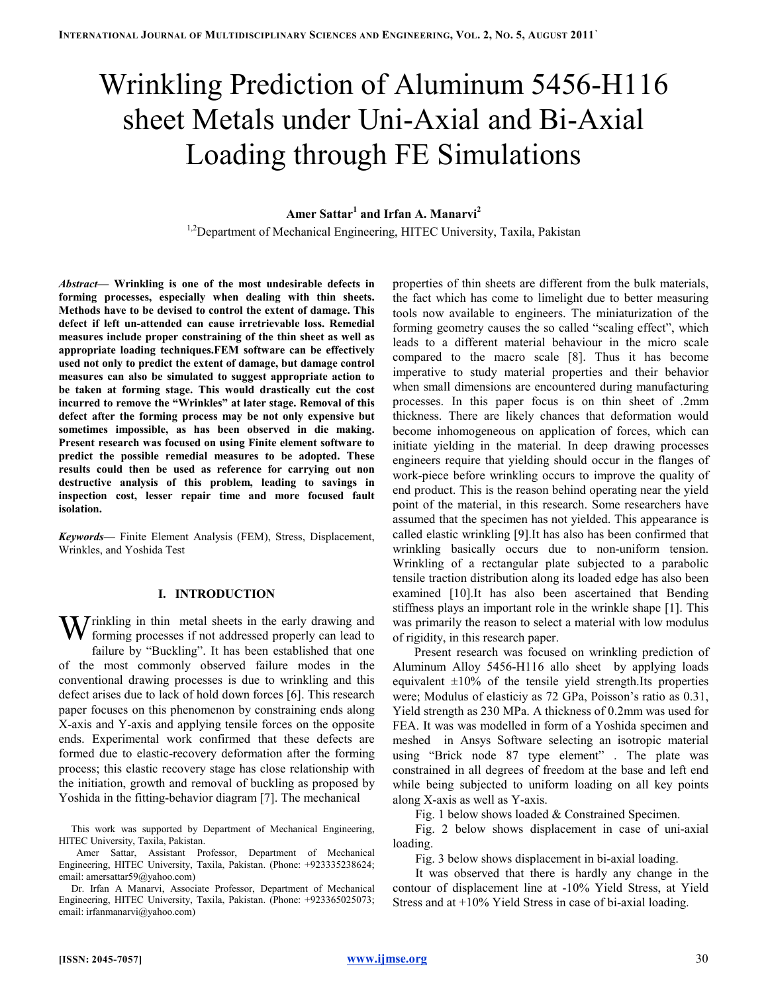# Wrinkling Prediction of Aluminum 5456-H116 sheet Metals under Uni-Axial and Bi-Axial Loading through FE Simulations

## Amer Sattar $^1$  and Irfan A. Manarvi $^2$

<sup>1,2</sup>Department of Mechanical Engineering, HITEC University, Taxila, Pakistan

Abstract— Wrinkling is one of the most undesirable defects in forming processes, especially when dealing with thin sheets. Methods have to be devised to control the extent of damage. This defect if left un-attended can cause irretrievable loss. Remedial measures include proper constraining of the thin sheet as well as appropriate loading techniques.FEM software can be effectively used not only to predict the extent of damage, but damage control measures can also be simulated to suggest appropriate action to be taken at forming stage. This would drastically cut the cost incurred to remove the "Wrinkles" at later stage. Removal of this defect after the forming process may be not only expensive but sometimes impossible, as has been observed in die making. Present research was focused on using Finite element software to predict the possible remedial measures to be adopted. These results could then be used as reference for carrying out non destructive analysis of this problem, leading to savings in inspection cost, lesser repair time and more focused fault isolation.

Keywords— Finite Element Analysis (FEM), Stress, Displacement, Wrinkles, and Yoshida Test

## I. INTRODUCTION

W rinkling in thin metal sheets in the early drawing and forming processes if not addressed properly can lead to forming processes if not addressed properly can lead to failure by "Buckling". It has been established that one of the most commonly observed failure modes in the conventional drawing processes is due to wrinkling and this defect arises due to lack of hold down forces [6]. This research paper focuses on this phenomenon by constraining ends along X-axis and Y-axis and applying tensile forces on the opposite ends. Experimental work confirmed that these defects are formed due to elastic-recovery deformation after the forming process; this elastic recovery stage has close relationship with the initiation, growth and removal of buckling as proposed by Yoshida in the fitting-behavior diagram [7]. The mechanical

 Amer Sattar, Assistant Professor, Department of Mechanical Engineering, HITEC University, Taxila, Pakistan. (Phone: +923335238624; email: amersattar59@yahoo.com)

Dr. Irfan A Manarvi, Associate Professor, Department of Mechanical Engineering, HITEC University, Taxila, Pakistan. (Phone: +923365025073; email: irfanmanarvi@yahoo.com)

properties of thin sheets are different from the bulk materials, the fact which has come to limelight due to better measuring tools now available to engineers. The miniaturization of the forming geometry causes the so called "scaling effect", which leads to a different material behaviour in the micro scale compared to the macro scale [8]. Thus it has become imperative to study material properties and their behavior when small dimensions are encountered during manufacturing processes. In this paper focus is on thin sheet of .2mm thickness. There are likely chances that deformation would become inhomogeneous on application of forces, which can initiate yielding in the material. In deep drawing processes engineers require that yielding should occur in the flanges of work-piece before wrinkling occurs to improve the quality of end product. This is the reason behind operating near the yield point of the material, in this research. Some researchers have assumed that the specimen has not yielded. This appearance is called elastic wrinkling [9].It has also has been confirmed that wrinkling basically occurs due to non-uniform tension. Wrinkling of a rectangular plate subjected to a parabolic tensile traction distribution along its loaded edge has also been examined [10].It has also been ascertained that Bending stiffness plays an important role in the wrinkle shape [1]. This was primarily the reason to select a material with low modulus of rigidity, in this research paper.

Present research was focused on wrinkling prediction of Aluminum Alloy 5456-H116 allo sheet by applying loads equivalent  $\pm 10\%$  of the tensile yield strength.Its properties were; Modulus of elasticiy as 72 GPa, Poisson's ratio as 0.31, Yield strength as 230 MPa. A thickness of 0.2mm was used for FEA. It was was modelled in form of a Yoshida specimen and meshed in Ansys Software selecting an isotropic material using "Brick node 87 type element" . The plate was constrained in all degrees of freedom at the base and left end while being subjected to uniform loading on all key points along X-axis as well as Y-axis.

Fig. 1 below shows loaded & Constrained Specimen.

Fig. 2 below shows displacement in case of uni-axial loading.

Fig. 3 below shows displacement in bi-axial loading.

It was observed that there is hardly any change in the contour of displacement line at -10% Yield Stress, at Yield Stress and at +10% Yield Stress in case of bi-axial loading.

This work was supported by Department of Mechanical Engineering, HITEC University, Taxila, Pakistan.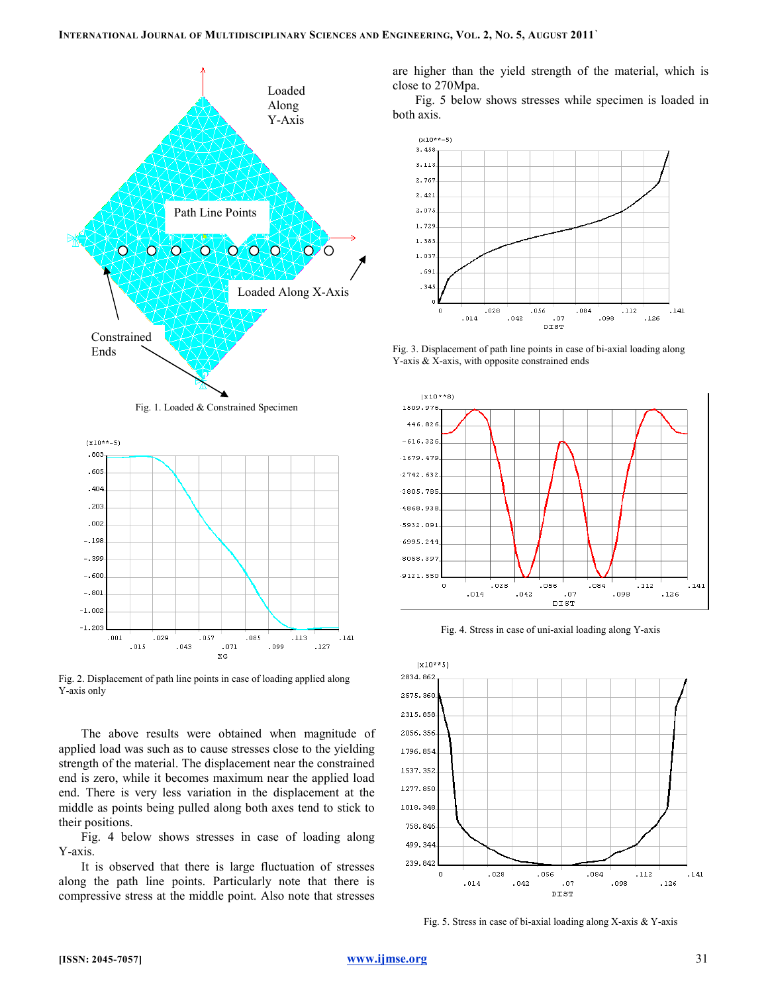





Fig. 2. Displacement of path line points in case of loading applied along Y-axis only

The above results were obtained when magnitude of applied load was such as to cause stresses close to the yielding strength of the material. The displacement near the constrained end is zero, while it becomes maximum near the applied load end. There is very less variation in the displacement at the middle as points being pulled along both axes tend to stick to their positions.

Fig. 4 below shows stresses in case of loading along Y-axis.

It is observed that there is large fluctuation of stresses along the path line points. Particularly note that there is compressive stress at the middle point. Also note that stresses

are higher than the yield strength of the material, which is close to 270Mpa.

Fig. 5 below shows stresses while specimen is loaded in both axis.



Fig. 3. Displacement of path line points in case of bi-axial loading along Y-axis & X-axis, with opposite constrained ends



Fig. 4. Stress in case of uni-axial loading along Y-axis



Fig. 5. Stress in case of bi-axial loading along X-axis & Y-axis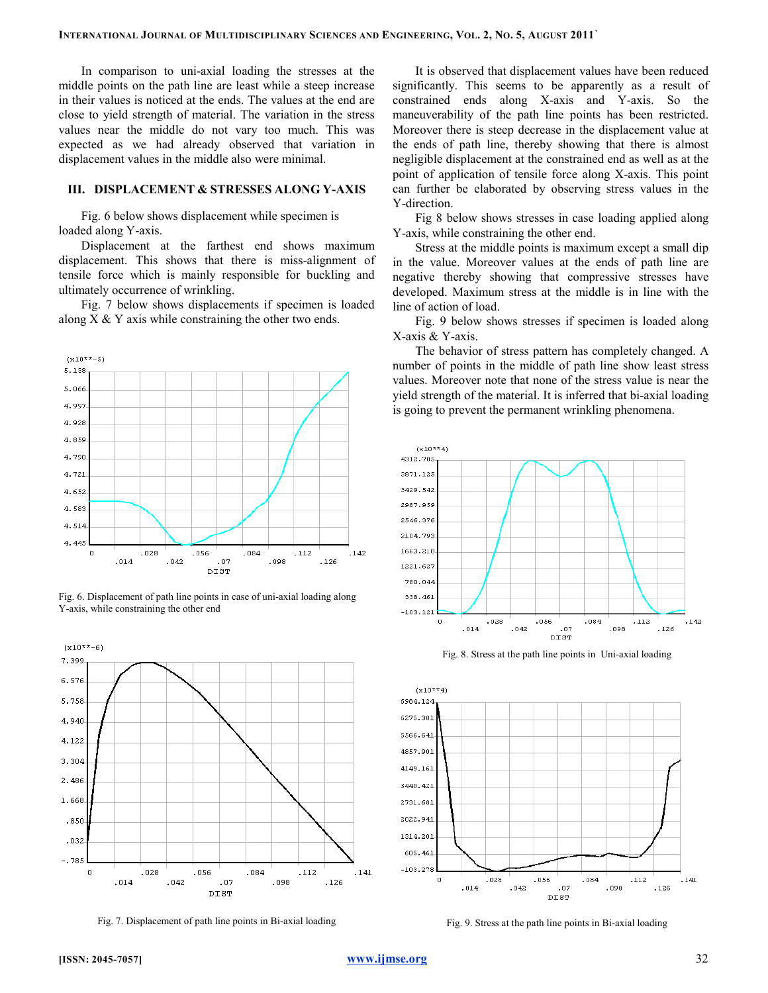In comparison to uni-axial loading the stresses at the middle points on the path line are least while a steep increase in their values is noticed at the ends. The values at the end are close to yield strength of material. The variation in the stress values near the middle do not vary too much. This was expected as we had already observed that variation in displacement values in the middle also were minimal.

#### III. DISPLACEMENT & STRESSES ALONG Y-AXIS

Fig. 6 below shows displacement while specimen is loaded along Y-axis.

Displacement at the farthest end shows maximum displacement. This shows that there is miss-alignment of tensile force which is mainly responsible for buckling and ultimately occurrence of wrinkling.

Fig. 7 below shows displacements if specimen is loaded along  $X \& Y$  axis while constraining the other two ends.



Fig. 6. Displacement of path line points in case of uni-axial loading along Y-axis, while constraining the other end



Fig. 7. Displacement of path line points in Bi-axial loading

It is observed that displacement values have been reduced significantly. This seems to be apparently as a result of constrained ends along X-axis and Y-axis. So the maneuverability of the path line points has been restricted. Moreover there is steep decrease in the displacement value at the ends of path line, thereby showing that there is almost negligible displacement at the constrained end as well as at the point of application of tensile force along X-axis. This point can further be elaborated by observing stress values in the Y-direction.

Fig 8 below shows stresses in case loading applied along Y-axis, while constraining the other end.

Stress at the middle points is maximum except a small dip in the value. Moreover values at the ends of path line are negative thereby showing that compressive stresses have developed. Maximum stress at the middle is in line with the line of action of load.

Fig. 9 below shows stresses if specimen is loaded along X-axis & Y-axis.

The behavior of stress pattern has completely changed. A number of points in the middle of path line show least stress values. Moreover note that none of the stress value is near the yield strength of the material. It is inferred that bi-axial loading is going to prevent the permanent wrinkling phenomena.



Fig. 8. Stress at the path line points in Uni-axial loading



Fig. 9. Stress at the path line points in Bi-axial loading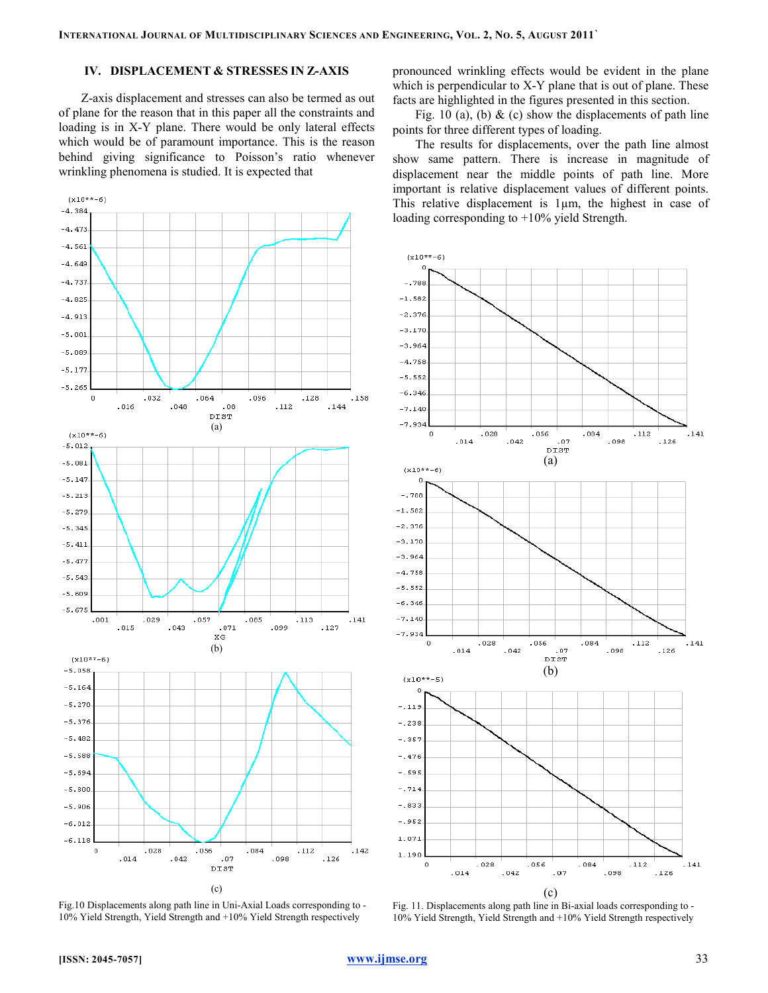### IV. DISPLACEMENT & STRESSES IN Z-AXIS

Z-axis displacement and stresses can also be termed as out of plane for the reason that in this paper all the constraints and loading is in X-Y plane. There would be only lateral effects which would be of paramount importance. This is the reason behind giving significance to Poisson's ratio whenever wrinkling phenomena is studied. It is expected that



Fig.10 Displacements along path line in Uni-Axial Loads corresponding to - 10% Yield Strength, Yield Strength and +10% Yield Strength respectively

pronounced wrinkling effects would be evident in the plane which is perpendicular to X-Y plane that is out of plane. These facts are highlighted in the figures presented in this section.

Fig. 10 (a), (b)  $\&$  (c) show the displacements of path line points for three different types of loading.

The results for displacements, over the path line almost show same pattern. There is increase in magnitude of displacement near the middle points of path line. More important is relative displacement values of different points. This relative displacement is 1µm, the highest in case of loading corresponding to +10% yield Strength.



Fig. 11. Displacements along path line in Bi-axial loads corresponding to - 10% Yield Strength, Yield Strength and +10% Yield Strength respectively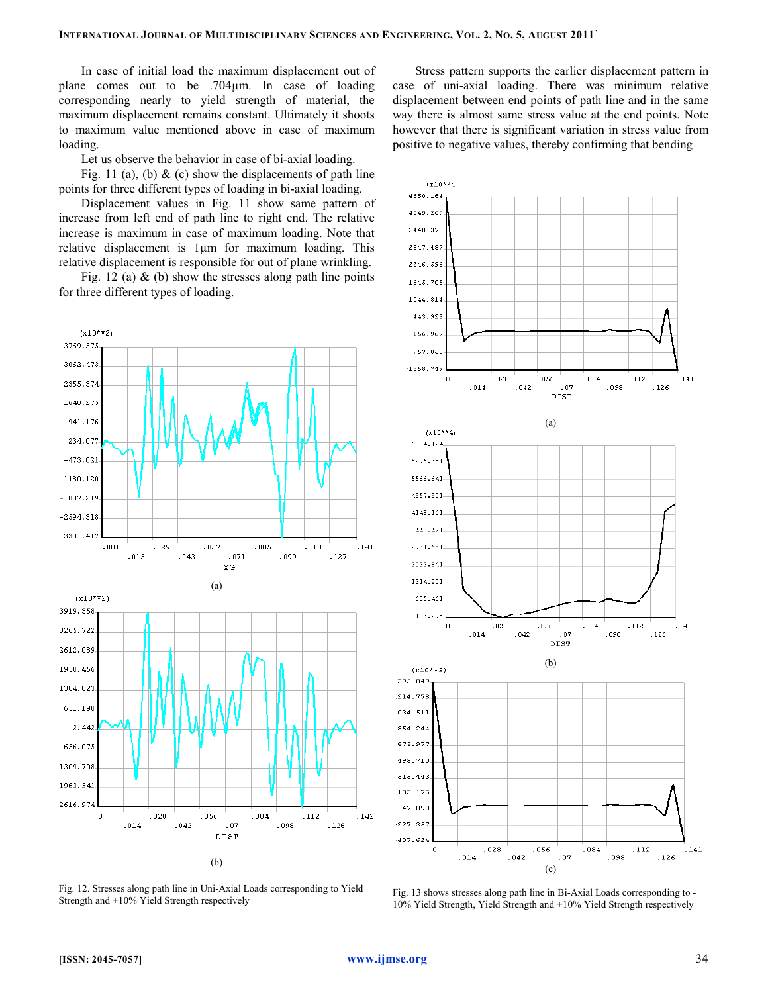In case of initial load the maximum displacement out of plane comes out to be .704µm. In case of loading corresponding nearly to yield strength of material, the maximum displacement remains constant. Ultimately it shoots to maximum value mentioned above in case of maximum loading.

Let us observe the behavior in case of bi-axial loading.

Fig. 11 (a), (b)  $\&$  (c) show the displacements of path line points for three different types of loading in bi-axial loading.

Displacement values in Fig. 11 show same pattern of increase from left end of path line to right end. The relative increase is maximum in case of maximum loading. Note that relative displacement is 1µm for maximum loading. This relative displacement is responsible for out of plane wrinkling.

Fig. 12 (a)  $\&$  (b) show the stresses along path line points for three different types of loading.



Fig. 12. Stresses along path line in Uni-Axial Loads corresponding to Yield Strength and +10% Yield Strength respectively

Stress pattern supports the earlier displacement pattern in case of uni-axial loading. There was minimum relative displacement between end points of path line and in the same way there is almost same stress value at the end points. Note however that there is significant variation in stress value from positive to negative values, thereby confirming that bending



Fig. 13 shows stresses along path line in Bi-Axial Loads corresponding to - 10% Yield Strength, Yield Strength and +10% Yield Strength respectively

[ISSN: 2045-7057] www.ijmse.org 34